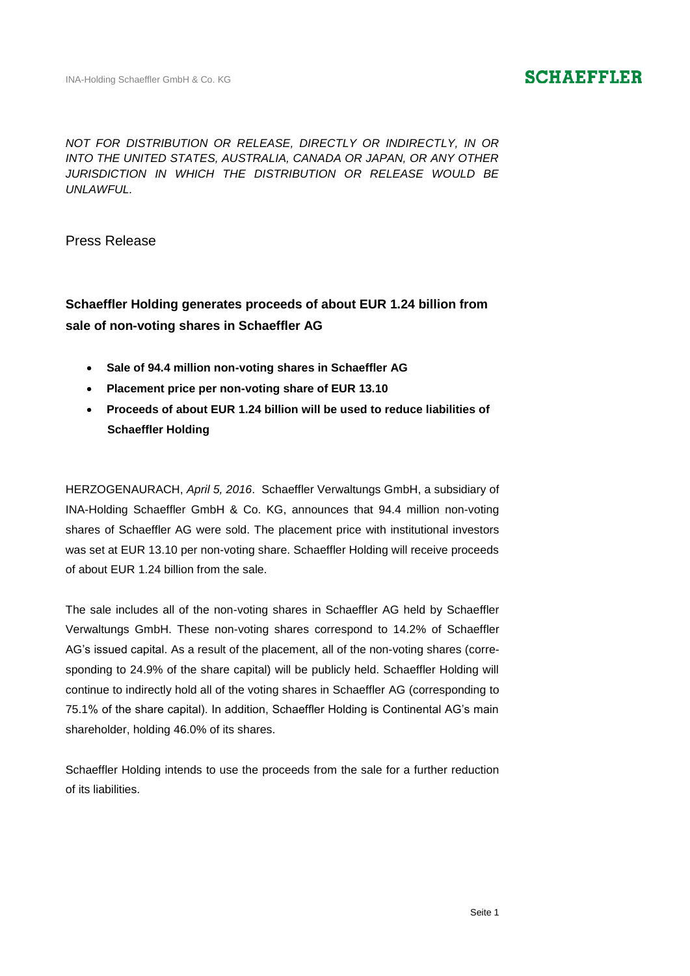### **SCHAEFFLER**

*NOT FOR DISTRIBUTION OR RELEASE, DIRECTLY OR INDIRECTLY, IN OR INTO THE UNITED STATES, AUSTRALIA, CANADA OR JAPAN, OR ANY OTHER JURISDICTION IN WHICH THE DISTRIBUTION OR RELEASE WOULD BE UNLAWFUL.*

Press Release

### **Schaeffler Holding generates proceeds of about EUR 1.24 billion from sale of non-voting shares in Schaeffler AG**

- **Sale of 94.4 million non-voting shares in Schaeffler AG**
- **Placement price per non-voting share of EUR 13.10**
- **Proceeds of about EUR 1.24 billion will be used to reduce liabilities of Schaeffler Holding**

HERZOGENAURACH, *April 5, 2016*. Schaeffler Verwaltungs GmbH, a subsidiary of INA-Holding Schaeffler GmbH & Co. KG, announces that 94.4 million non-voting shares of Schaeffler AG were sold. The placement price with institutional investors was set at EUR 13.10 per non-voting share. Schaeffler Holding will receive proceeds of about EUR 1.24 billion from the sale.

The sale includes all of the non-voting shares in Schaeffler AG held by Schaeffler Verwaltungs GmbH. These non-voting shares correspond to 14.2% of Schaeffler AG's issued capital. As a result of the placement, all of the non-voting shares (corresponding to 24.9% of the share capital) will be publicly held. Schaeffler Holding will continue to indirectly hold all of the voting shares in Schaeffler AG (corresponding to 75.1% of the share capital). In addition, Schaeffler Holding is Continental AG's main shareholder, holding 46.0% of its shares.

Schaeffler Holding intends to use the proceeds from the sale for a further reduction of its liabilities.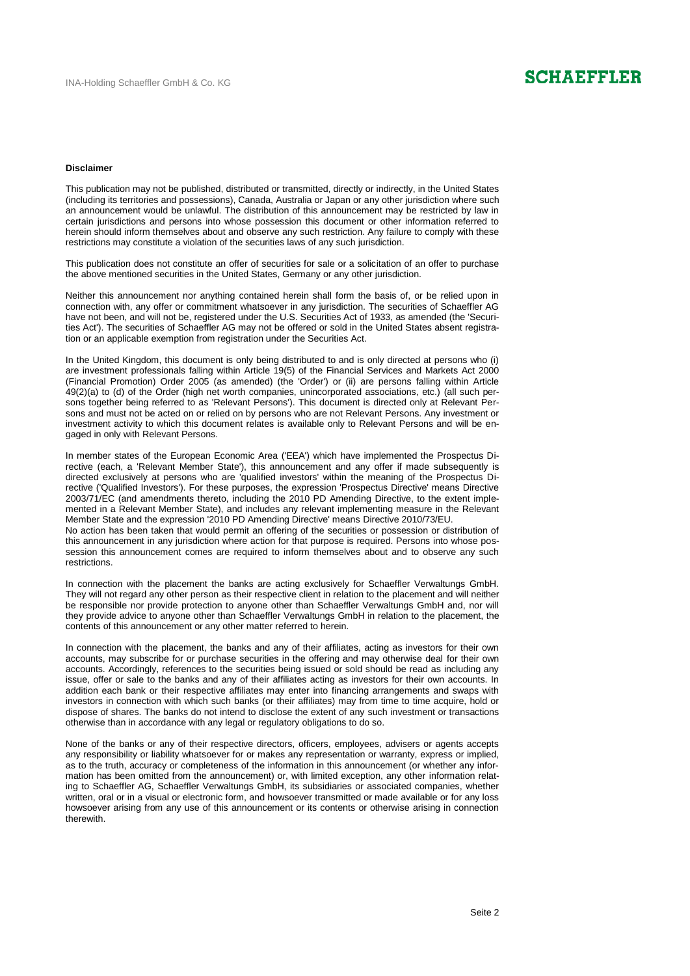## **SCHAEFFLER**

#### **Disclaimer**

This publication may not be published, distributed or transmitted, directly or indirectly, in the United States (including its territories and possessions), Canada, Australia or Japan or any other jurisdiction where such an announcement would be unlawful. The distribution of this announcement may be restricted by law in certain jurisdictions and persons into whose possession this document or other information referred to herein should inform themselves about and observe any such restriction. Any failure to comply with these restrictions may constitute a violation of the securities laws of any such jurisdiction.

This publication does not constitute an offer of securities for sale or a solicitation of an offer to purchase the above mentioned securities in the United States, Germany or any other jurisdiction.

Neither this announcement nor anything contained herein shall form the basis of, or be relied upon in connection with, any offer or commitment whatsoever in any jurisdiction. The securities of Schaeffler AG have not been, and will not be, registered under the U.S. Securities Act of 1933, as amended (the 'Securities Act'). The securities of Schaeffler AG may not be offered or sold in the United States absent registration or an applicable exemption from registration under the Securities Act.

In the United Kingdom, this document is only being distributed to and is only directed at persons who (i) are investment professionals falling within Article 19(5) of the Financial Services and Markets Act 2000 (Financial Promotion) Order 2005 (as amended) (the 'Order') or (ii) are persons falling within Article 49(2)(a) to (d) of the Order (high net worth companies, unincorporated associations, etc.) (all such persons together being referred to as 'Relevant Persons'). This document is directed only at Relevant Persons and must not be acted on or relied on by persons who are not Relevant Persons. Any investment or investment activity to which this document relates is available only to Relevant Persons and will be engaged in only with Relevant Persons.

In member states of the European Economic Area ('EEA') which have implemented the Prospectus Directive (each, a 'Relevant Member State'), this announcement and any offer if made subsequently is directed exclusively at persons who are 'qualified investors' within the meaning of the Prospectus Directive ('Qualified Investors'). For these purposes, the expression 'Prospectus Directive' means Directive 2003/71/EC (and amendments thereto, including the 2010 PD Amending Directive, to the extent implemented in a Relevant Member State), and includes any relevant implementing measure in the Relevant Member State and the expression '2010 PD Amending Directive' means Directive 2010/73/EU.

No action has been taken that would permit an offering of the securities or possession or distribution of this announcement in any jurisdiction where action for that purpose is required. Persons into whose possession this announcement comes are required to inform themselves about and to observe any such restrictions.

In connection with the placement the banks are acting exclusively for Schaeffler Verwaltungs GmbH. They will not regard any other person as their respective client in relation to the placement and will neither be responsible nor provide protection to anyone other than Schaeffler Verwaltungs GmbH and, nor will they provide advice to anyone other than Schaeffler Verwaltungs GmbH in relation to the placement, the contents of this announcement or any other matter referred to herein.

In connection with the placement, the banks and any of their affiliates, acting as investors for their own accounts, may subscribe for or purchase securities in the offering and may otherwise deal for their own accounts. Accordingly, references to the securities being issued or sold should be read as including any issue, offer or sale to the banks and any of their affiliates acting as investors for their own accounts. In addition each bank or their respective affiliates may enter into financing arrangements and swaps with investors in connection with which such banks (or their affiliates) may from time to time acquire, hold or dispose of shares. The banks do not intend to disclose the extent of any such investment or transactions otherwise than in accordance with any legal or regulatory obligations to do so.

None of the banks or any of their respective directors, officers, employees, advisers or agents accepts any responsibility or liability whatsoever for or makes any representation or warranty, express or implied, as to the truth, accuracy or completeness of the information in this announcement (or whether any information has been omitted from the announcement) or, with limited exception, any other information relating to Schaeffler AG, Schaeffler Verwaltungs GmbH, its subsidiaries or associated companies, whether written, oral or in a visual or electronic form, and howsoever transmitted or made available or for any loss howsoever arising from any use of this announcement or its contents or otherwise arising in connection therewith.